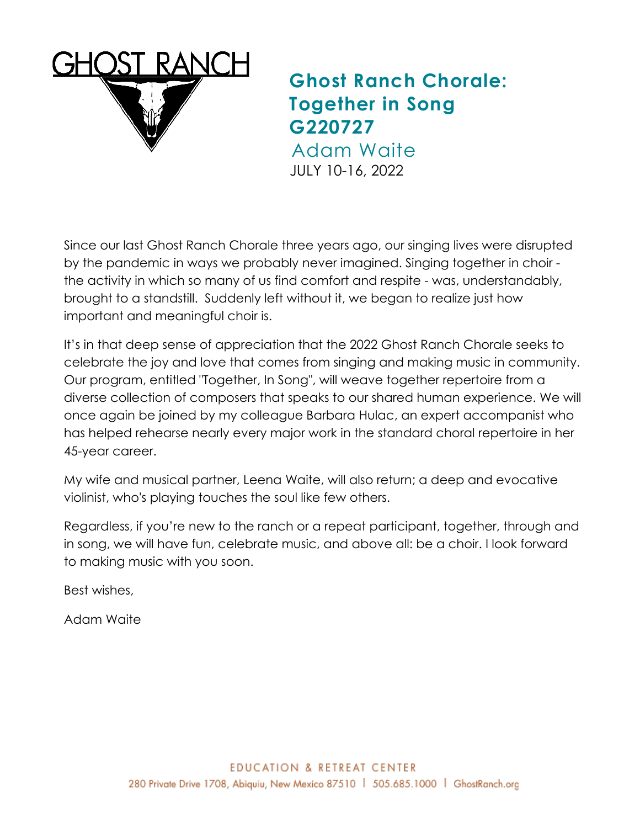

## **Ghost Ranch Chorale: Together in Song G220727**

Adam Waite JULY 10-16, 2022

Since our last Ghost Ranch Chorale three years ago, our singing lives were disrupted by the pandemic in ways we probably never imagined. Singing together in choir the activity in which so many of us find comfort and respite - was, understandably, brought to a standstill. Suddenly left without it, we began to realize just how important and meaningful choir is.

It's in that deep sense of appreciation that the 2022 Ghost Ranch Chorale seeks to celebrate the joy and love that comes from singing and making music in community. Our program, entitled "Together, In Song", will weave together repertoire from a diverse collection of composers that speaks to our shared human experience. We will once again be joined by my colleague Barbara Hulac, an expert accompanist who has helped rehearse nearly every major work in the standard choral repertoire in her 45-year career.

My wife and musical partner, Leena Waite, will also return; a deep and evocative violinist, who's playing touches the soul like few others.

Regardless, if you're new to the ranch or a repeat participant, together, through and in song, we will have fun, celebrate music, and above all: be a choir. I look forward to making music with you soon.

Best wishes,

Adam Waite